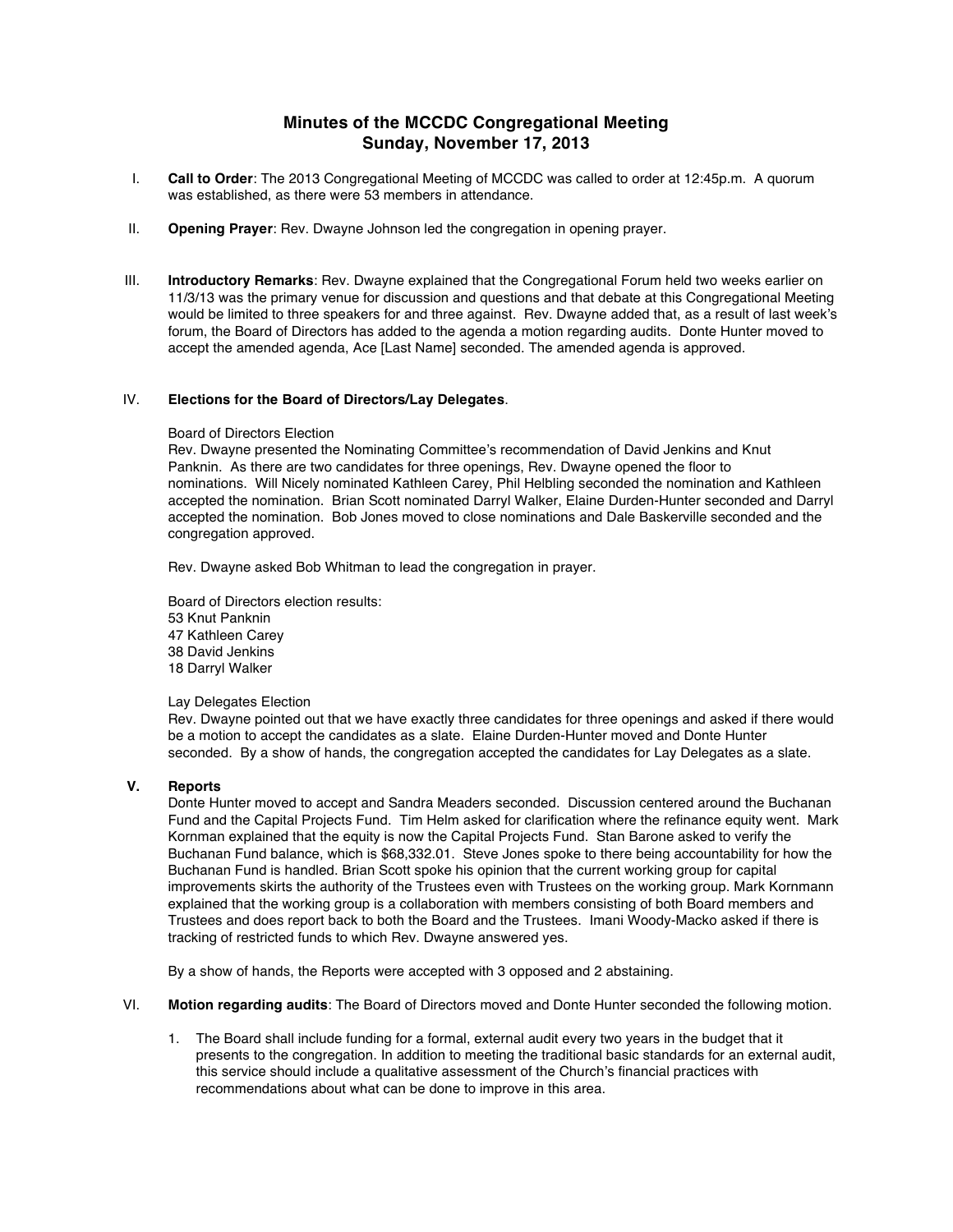# **Minutes of the MCCDC Congregational Meeting Sunday, November 17, 2013**

- I. **Call to Order**: The 2013 Congregational Meeting of MCCDC was called to order at 12:45p.m. A quorum was established, as there were 53 members in attendance.
- II. **Opening Prayer**: Rev. Dwayne Johnson led the congregation in opening prayer.
- III. **Introductory Remarks**: Rev. Dwayne explained that the Congregational Forum held two weeks earlier on 11/3/13 was the primary venue for discussion and questions and that debate at this Congregational Meeting would be limited to three speakers for and three against. Rev. Dwayne added that, as a result of last week's forum, the Board of Directors has added to the agenda a motion regarding audits. Donte Hunter moved to accept the amended agenda, Ace [Last Name] seconded. The amended agenda is approved.

### IV. **Elections for the Board of Directors/Lay Delegates**.

#### Board of Directors Election

Rev. Dwayne presented the Nominating Committee's recommendation of David Jenkins and Knut Panknin. As there are two candidates for three openings, Rev. Dwayne opened the floor to nominations. Will Nicely nominated Kathleen Carey, Phil Helbling seconded the nomination and Kathleen accepted the nomination. Brian Scott nominated Darryl Walker, Elaine Durden-Hunter seconded and Darryl accepted the nomination. Bob Jones moved to close nominations and Dale Baskerville seconded and the congregation approved.

Rev. Dwayne asked Bob Whitman to lead the congregation in prayer.

Board of Directors election results: 53 Knut Panknin 47 Kathleen Carey 38 David Jenkins 18 Darryl Walker

#### Lay Delegates Election

Rev. Dwayne pointed out that we have exactly three candidates for three openings and asked if there would be a motion to accept the candidates as a slate. Elaine Durden-Hunter moved and Donte Hunter seconded. By a show of hands, the congregation accepted the candidates for Lay Delegates as a slate.

## **V. Reports**

Donte Hunter moved to accept and Sandra Meaders seconded. Discussion centered around the Buchanan Fund and the Capital Projects Fund. Tim Helm asked for clarification where the refinance equity went. Mark Kornman explained that the equity is now the Capital Projects Fund. Stan Barone asked to verify the Buchanan Fund balance, which is \$68,332.01. Steve Jones spoke to there being accountability for how the Buchanan Fund is handled. Brian Scott spoke his opinion that the current working group for capital improvements skirts the authority of the Trustees even with Trustees on the working group. Mark Kornmann explained that the working group is a collaboration with members consisting of both Board members and Trustees and does report back to both the Board and the Trustees. Imani Woody-Macko asked if there is tracking of restricted funds to which Rev. Dwayne answered yes.

By a show of hands, the Reports were accepted with 3 opposed and 2 abstaining.

- VI. **Motion regarding audits**: The Board of Directors moved and Donte Hunter seconded the following motion.
	- 1. The Board shall include funding for a formal, external audit every two years in the budget that it presents to the congregation. In addition to meeting the traditional basic standards for an external audit, this service should include a qualitative assessment of the Church's financial practices with recommendations about what can be done to improve in this area.